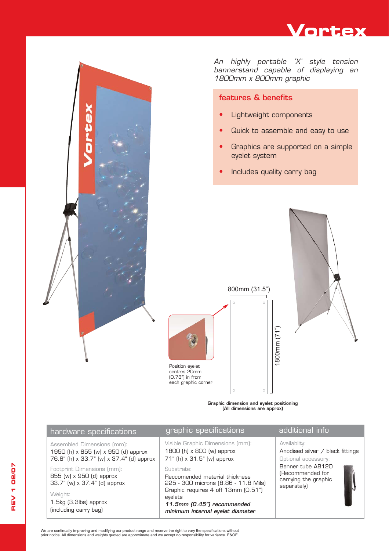



## features & benefits

- Lightweight components
- Quick to assemble and easy to use
- **•** Graphics are supported on a simple eyelet system
- **•** Includes quality carry bag



Graphic dimension and eyelet positioning (All dimensions are approx)



Position eyelet centres 20mm (0.78") in from each graphic corner

We are continually improving and modifying our product range and reserve the right to vary the specifications without prior notice. All dimensions and weights quoted are approximate and we accept no responsibility for variance. E&OE.